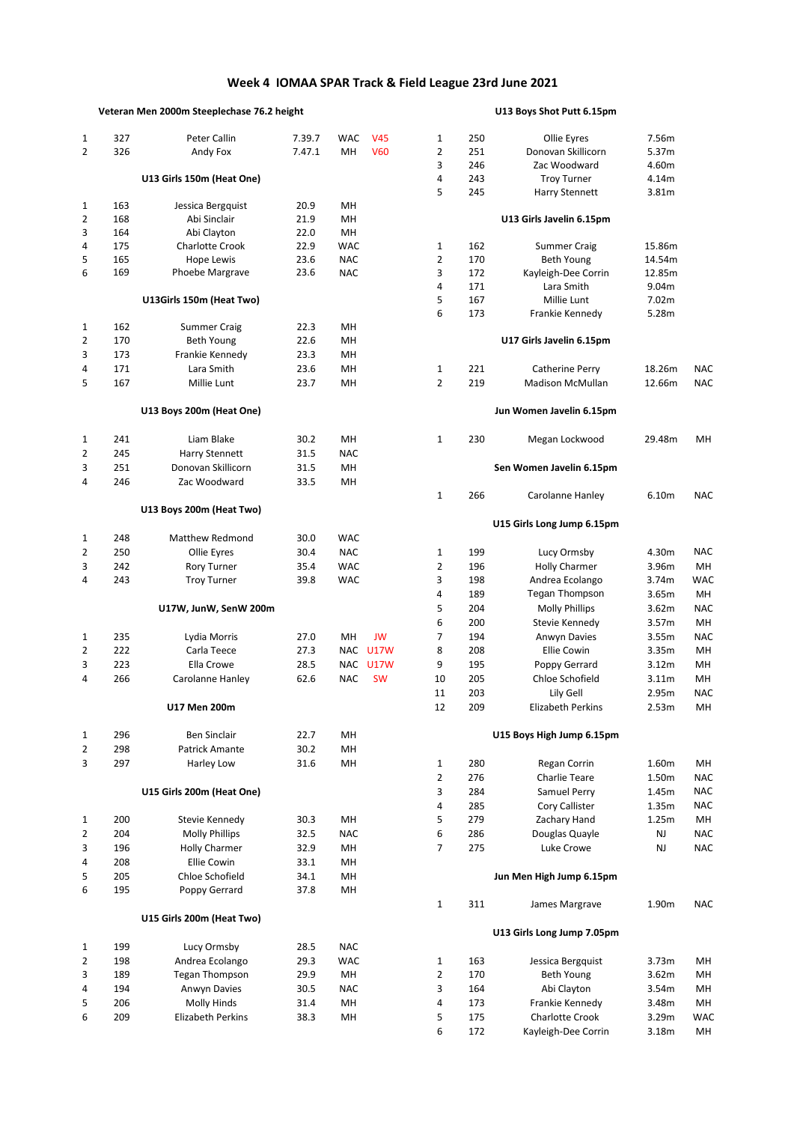## **Week 4 IOMAA SPAR Track & Field League 23rd June 2021**

## **Veteran Men 2000m Steeplechase 76.2 height U13 Boys Shot Putt 6.15pm**

| 1              | 327 | Peter Callin              | 7.39.7 | <b>WAC</b> | <b>V45</b> | 1              | 250 | Ollie Eyres                | 7.56m  |            |
|----------------|-----|---------------------------|--------|------------|------------|----------------|-----|----------------------------|--------|------------|
| $\overline{2}$ | 326 | Andy Fox                  | 7.47.1 | MH         | <b>V60</b> | $\overline{2}$ | 251 | Donovan Skillicorn         | 5.37m  |            |
|                |     |                           |        |            |            | 3              | 246 | Zac Woodward               | 4.60m  |            |
|                |     | U13 Girls 150m (Heat One) |        |            |            | 4              | 243 | <b>Troy Turner</b>         | 4.14m  |            |
|                |     |                           |        |            |            | 5              | 245 | Harry Stennett             | 3.81m  |            |
| 1              | 163 | Jessica Bergquist         | 20.9   | MН         |            |                |     |                            |        |            |
| 2              | 168 | Abi Sinclair              | 21.9   | MН         |            |                |     | U13 Girls Javelin 6.15pm   |        |            |
| 3              | 164 | Abi Clayton               | 22.0   | MН         |            |                |     |                            |        |            |
| 4              | 175 | Charlotte Crook           | 22.9   | <b>WAC</b> |            | 1              | 162 | <b>Summer Craig</b>        | 15.86m |            |
| 5              | 165 | <b>Hope Lewis</b>         | 23.6   | <b>NAC</b> |            | $\overline{2}$ | 170 | Beth Young                 | 14.54m |            |
| 6              | 169 | Phoebe Margrave           | 23.6   | <b>NAC</b> |            | 3              | 172 | Kayleigh-Dee Corrin        | 12.85m |            |
|                |     |                           |        |            |            | 4              | 171 | Lara Smith                 | 9.04m  |            |
|                |     | U13Girls 150m (Heat Two)  |        |            |            | 5              | 167 | Millie Lunt                | 7.02m  |            |
|                |     |                           |        |            |            | 6              | 173 | Frankie Kennedy            | 5.28m  |            |
| 1              | 162 | <b>Summer Craig</b>       | 22.3   | MН         |            |                |     |                            |        |            |
| 2              | 170 | Beth Young                | 22.6   | MН         |            |                |     | U17 Girls Javelin 6.15pm   |        |            |
| 3              | 173 | Frankie Kennedy           | 23.3   | MН         |            |                |     |                            |        |            |
| 4              | 171 | Lara Smith                | 23.6   | MH         |            | 1              | 221 | Catherine Perry            | 18.26m | <b>NAC</b> |
| 5              | 167 | Millie Lunt               | 23.7   | MН         |            | $\overline{2}$ | 219 | Madison McMullan           | 12.66m | <b>NAC</b> |
|                |     |                           |        |            |            |                |     |                            |        |            |
|                |     | U13 Boys 200m (Heat One)  |        |            |            |                |     | Jun Women Javelin 6.15pm   |        |            |
| 1              | 241 | Liam Blake                | 30.2   | MН         |            | 1              | 230 | Megan Lockwood             | 29.48m | MН         |
| 2              | 245 | Harry Stennett            | 31.5   | <b>NAC</b> |            |                |     |                            |        |            |
| 3              | 251 | Donovan Skillicorn        | 31.5   | <b>MH</b>  |            |                |     | Sen Women Javelin 6.15pm   |        |            |
| 4              | 246 | Zac Woodward              | 33.5   | <b>MH</b>  |            |                |     |                            |        |            |
|                |     |                           |        |            |            | $\mathbf{1}$   | 266 | Carolanne Hanley           | 6.10m  | <b>NAC</b> |
|                |     | U13 Boys 200m (Heat Two)  |        |            |            |                |     |                            |        |            |
|                |     |                           |        |            |            |                |     | U15 Girls Long Jump 6.15pm |        |            |
| 1              | 248 | <b>Matthew Redmond</b>    | 30.0   | <b>WAC</b> |            |                |     |                            |        |            |
| 2              | 250 | Ollie Eyres               | 30.4   | <b>NAC</b> |            | 1              | 199 | Lucy Ormsby                | 4.30m  | <b>NAC</b> |
| 3              | 242 | <b>Rory Turner</b>        | 35.4   | <b>WAC</b> |            | $\overline{2}$ | 196 | <b>Holly Charmer</b>       | 3.96m  | MH         |
| 4              | 243 | <b>Troy Turner</b>        | 39.8   | <b>WAC</b> |            | 3              | 198 | Andrea Ecolango            | 3.74m  | <b>WAC</b> |
|                |     |                           |        |            |            | 4              | 189 | Tegan Thompson             | 3.65m  | <b>MH</b>  |
|                |     | U17W, JunW, SenW 200m     |        |            |            | 5              | 204 | <b>Molly Phillips</b>      | 3.62m  | <b>NAC</b> |
|                |     |                           |        |            |            | 6              | 200 | Stevie Kennedy             | 3.57m  | MH         |
| 1              | 235 | Lydia Morris              | 27.0   | MН         | <b>JW</b>  | 7              | 194 | Anwyn Davies               | 3.55m  | <b>NAC</b> |
| 2              | 222 | Carla Teece               | 27.3   |            | NAC U17W   | 8              | 208 | <b>Ellie Cowin</b>         | 3.35m  | MH         |
| 3              | 223 | Ella Crowe                | 28.5   |            | NAC U17W   | 9              | 195 | Poppy Gerrard              | 3.12m  | MH         |
| 4              | 266 | Carolanne Hanley          | 62.6   | <b>NAC</b> | <b>SW</b>  | 10             | 205 | Chloe Schofield            | 3.11m  | MН         |
|                |     |                           |        |            |            | 11             | 203 | Lily Gell                  | 2.95m  | <b>NAC</b> |
|                |     | U17 Men 200m              |        |            |            | 12             | 209 | <b>Elizabeth Perkins</b>   | 2.53m  | MН         |
|                |     |                           |        |            |            |                |     |                            |        |            |
| 1              | 296 | Ben Sinclair              | 22.7   | MН         |            |                |     | U15 Boys High Jump 6.15pm  |        |            |
| $\overline{2}$ | 298 | Patrick Amante            | 30.2   | MН         |            |                |     |                            |        |            |
| 3              | 297 | Harley Low                | 31.6   | MН         |            | $\mathbf{1}$   | 280 | Regan Corrin               | 1.60m  | MH         |
|                |     |                           |        |            |            | $\overline{2}$ | 276 | Charlie Teare              | 1.50m  | <b>NAC</b> |
|                |     | U15 Girls 200m (Heat One) |        |            |            | 3              | 284 | Samuel Perry               | 1.45m  | <b>NAC</b> |
|                |     |                           |        |            |            | 4              | 285 | Cory Callister             | 1.35m  | <b>NAC</b> |
| 1              | 200 | Stevie Kennedy            | 30.3   | MН         |            | 5              | 279 | Zachary Hand               | 1.25m  | MH         |
| 2              | 204 | <b>Molly Phillips</b>     | 32.5   | <b>NAC</b> |            | 6              | 286 | Douglas Quayle             | NJ     | <b>NAC</b> |
| 3              | 196 | <b>Holly Charmer</b>      | 32.9   | MН         |            | $\overline{7}$ | 275 | Luke Crowe                 | NJ     | <b>NAC</b> |
| 4              | 208 | <b>Ellie Cowin</b>        | 33.1   | MН         |            |                |     |                            |        |            |
| 5              | 205 | Chloe Schofield           | 34.1   | MН         |            |                |     | Jun Men High Jump 6.15pm   |        |            |
| 6              | 195 | Poppy Gerrard             | 37.8   | MН         |            |                |     |                            |        |            |
|                |     |                           |        |            |            | $\mathbf{1}$   | 311 | James Margrave             | 1.90m  | <b>NAC</b> |
|                |     | U15 Girls 200m (Heat Two) |        |            |            |                |     | U13 Girls Long Jump 7.05pm |        |            |
| 1              | 199 | Lucy Ormsby               | 28.5   | <b>NAC</b> |            |                |     |                            |        |            |
| 2              | 198 | Andrea Ecolango           | 29.3   | <b>WAC</b> |            | $\mathbf{1}$   | 163 | Jessica Bergquist          | 3.73m  | MH         |
| 3              | 189 | <b>Tegan Thompson</b>     | 29.9   | MН         |            | $\overline{2}$ | 170 | Beth Young                 | 3.62m  | MH         |
| 4              | 194 | Anwyn Davies              | 30.5   | <b>NAC</b> |            | 3              | 164 | Abi Clayton                | 3.54m  | MH         |
| 5              | 206 | Molly Hinds               | 31.4   | MH         |            | 4              | 173 | Frankie Kennedy            | 3.48m  | MH         |
| 6              | 209 | Elizabeth Perkins         | 38.3   | MН         |            | 5              | 175 | Charlotte Crook            | 3.29m  | <b>WAC</b> |
|                |     |                           |        |            |            |                |     |                            |        |            |

| 1<br>$\overline{2}$ | 250<br>251        | Ollie Eyres<br>Donovan Skillicorn                    | 7.56m<br>5.37m          |                          |
|---------------------|-------------------|------------------------------------------------------|-------------------------|--------------------------|
| 3<br>4<br>5         | 246<br>243<br>245 | Zac Woodward<br><b>Troy Turner</b><br>Harry Stennett | 4.60m<br>4.14m<br>3.81m |                          |
|                     |                   | U13 Girls Javelin 6.15pm                             |                         |                          |
| 1                   | 162               | <b>Summer Craig</b>                                  | 15.86m                  |                          |
| 2                   | 170               | <b>Beth Young</b>                                    | 14.54m                  |                          |
| 3                   | 172               | Kayleigh-Dee Corrin                                  | 12.85m                  |                          |
| 4                   | 171               | Lara Smith                                           | 9.04m                   |                          |
| 5<br>6              | 167<br>173        | Millie Lunt<br>Frankie Kennedy                       | 7.02m<br>5.28m          |                          |
|                     |                   | U17 Girls Javelin 6.15pm                             |                         |                          |
| 1                   | 221               | Catherine Perry                                      | 18.26m                  | <b>NAC</b>               |
| $\overline{2}$      | 219               | <b>Madison McMullan</b>                              | 12.66m                  | <b>NAC</b>               |
|                     |                   | Jun Women Javelin 6.15pm                             |                         |                          |
| 1                   | 230               | Megan Lockwood                                       | 29.48m                  | MН                       |
|                     |                   | Sen Women Javelin 6.15pm                             |                         |                          |
| 1                   | 266               | Carolanne Hanley                                     | 6.10m                   | NAC                      |
|                     |                   | U15 Girls Long Jump 6.15pm                           |                         |                          |
| 1                   | 199               | Lucy Ormsby                                          | 4.30m                   | <b>NAC</b>               |
| $\overline{2}$      | 196               | <b>Holly Charmer</b>                                 | 3.96m                   | MН                       |
| 3                   | 198               | Andrea Ecolango                                      | 3.74m                   | <b>WAC</b>               |
| 4                   | 189               | Tegan Thompson                                       | 3.65m                   | MН                       |
| 5<br>6              | 204               | <b>Molly Phillips</b>                                | 3.62m                   | <b>NAC</b><br><b>MH</b>  |
| 7                   | 200<br>194        | Stevie Kennedy<br>Anwyn Davies                       | 3.57m<br>3.55m          | <b>NAC</b>               |
| 8                   | 208               | <b>Ellie Cowin</b>                                   | 3.35m                   | MН                       |
| 9                   | 195               | Poppy Gerrard                                        | 3.12 <sub>m</sub>       | MН                       |
| 10                  | 205               | Chloe Schofield                                      | 3.11m                   | MH                       |
| 11                  | 203               | Lily Gell                                            | 2.95m                   | <b>NAC</b>               |
| 12                  | 209               | <b>Elizabeth Perkins</b>                             | 2.53m                   | MН                       |
|                     |                   | U15 Boys High Jump 6.15pm                            |                         |                          |
| 1                   | 280               | Regan Corrin                                         | 1.60m                   | MН                       |
| 2                   | 276               | <b>Charlie Teare</b>                                 | 1.50m                   | <b>NAC</b>               |
| 3                   | 284               | Samuel Perry                                         | 1.45m                   | NAC                      |
| 4                   | 285               | Cory Callister                                       | 1.35m                   | <b>NAC</b>               |
| 5                   | 279               | Zachary Hand                                         | 1.25m                   | MН                       |
| 6<br>7              | 286<br>275        | Douglas Quayle<br>Luke Crowe                         | NJ<br>NJ                | <b>NAC</b><br><b>NAC</b> |
|                     |                   | Jun Men High Jump 6.15pm                             |                         |                          |
| 1                   | 311               | James Margrave                                       | 1.90m                   | NAC                      |
|                     |                   | U13 Girls Long Jump 7.05pm                           |                         |                          |
| 1                   | 163               | Jessica Bergquist                                    | 3.73m                   | MН                       |
| $\overline{2}$      | 170               | Beth Young                                           | 3.62m                   | MН                       |
| 3                   | 164               | Abi Clayton                                          | 3.54m                   | MН                       |
| 4                   | 173               | Frankie Kennedy                                      | 3.48m                   | MН                       |
| 5                   | 175               | <b>Charlotte Crook</b>                               | 3.29m                   | WAC                      |
| 6                   | 172               | Kayleigh-Dee Corrin                                  | 3.18m                   | MН                       |